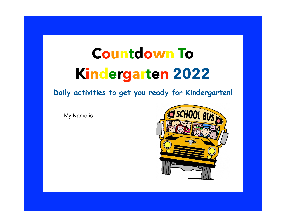# **Countdown To Kindergarten 2022**

**Daily activities to get you ready for Kindergarten!** 

My Name is:

\_\_\_\_\_\_\_\_\_\_\_\_\_\_\_\_\_\_\_\_\_\_\_\_\_\_\_\_\_\_

\_\_\_\_\_\_\_\_\_\_\_\_\_\_\_\_\_\_\_\_\_\_\_\_\_\_\_\_\_\_

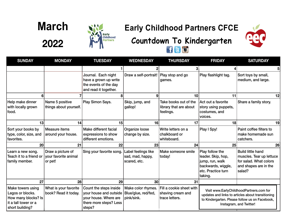## **March**

**2022**



## **Early Childhood Partners CFCE**



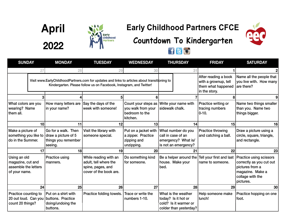



### **Early Childhood Partners CFCE**





| <b>SUNDAY</b>                                                              |                 | <b>MONDAY</b>                                                                | <b>TUESDAY</b>                                                                                                                                                       | <b>WEDNESDAY</b>                                                        | <b>THURSDAY</b>                                                                               | <b>FRIDAY</b>                                                                       | <b>SATURDAY</b>                                                                                                                    |
|----------------------------------------------------------------------------|-----------------|------------------------------------------------------------------------------|----------------------------------------------------------------------------------------------------------------------------------------------------------------------|-------------------------------------------------------------------------|-----------------------------------------------------------------------------------------------|-------------------------------------------------------------------------------------|------------------------------------------------------------------------------------------------------------------------------------|
|                                                                            | 27              | 28                                                                           | 29                                                                                                                                                                   | 30                                                                      | 31                                                                                            |                                                                                     |                                                                                                                                    |
|                                                                            |                 |                                                                              | Visit www.EarlyChildhoodPartners.com for updates and links to articles about transitioning to<br>Kindergarten. Please follow us on Facebook, Instagram, and Twitter! |                                                                         |                                                                                               | After reading a book<br>with a grownup, tell<br>them what happened<br>in the story. | Name all the people that<br>you live with. How many<br>are there?                                                                  |
|                                                                            |                 |                                                                              |                                                                                                                                                                      |                                                                         |                                                                                               | 8                                                                                   |                                                                                                                                    |
| What colors are you<br>wearing? Name<br>them all.                          |                 | How many letters are<br>in your name?                                        | Say the days of the<br>week with someone!                                                                                                                            | Count your steps as<br>you walk from your<br>bedroom to the<br>kitchen. | Write your name with<br>sidewalk chalk.                                                       | Practice writing or<br>tracing numbers<br>$0 - 10.$                                 | Name two things smaller<br>than you. Name two<br>things bigger.                                                                    |
|                                                                            | 10 <sup>1</sup> | 11                                                                           | 12                                                                                                                                                                   | 13 <sup>1</sup>                                                         | 14                                                                                            | 15 <sup>1</sup>                                                                     | 16 <sup>1</sup>                                                                                                                    |
| Make a picture of<br>something you like to<br>do in the Summer.            |                 | Go for a walk. Then<br>draw a picture of 5<br>things you remember<br>seeing. | Visit the library with<br>someone special.                                                                                                                           | Put on a jacket with<br>a zipper. Practice<br>zipping and<br>unzipping. | What number do you<br>call in case of an<br>emergency? What is/<br>is not an emergency?       | <b>Practice throwing</b><br>and catching a ball.                                    | Draw a picture using a<br>circle, square, triangle,<br>and rectangle.                                                              |
|                                                                            | 17              | 18 <sup>1</sup>                                                              | 19                                                                                                                                                                   | 20                                                                      | 21                                                                                            | 22                                                                                  | 23 <sup>2</sup>                                                                                                                    |
| Using an old<br>magazine, cut and<br>assemble the letters<br>of your name. |                 | <b>Practice using</b><br>manners.                                            | While reading with an<br>adult, tell where the<br>spine, pages, and<br>cover of the book are.                                                                        | Do something kind<br>for someone.                                       | Be a helper around the<br>house. Make your<br>bed.                                            | Tell your first and last<br>name to someone.                                        | <b>Practice using scissors</b><br>correctly as you cut out<br>pictures from a<br>magazine. Make a<br>collage with the<br>pictures. |
|                                                                            | 24              | 25 <sup>2</sup>                                                              | 26                                                                                                                                                                   | 27                                                                      | 28                                                                                            | 29                                                                                  | 30 <sub>0</sub>                                                                                                                    |
| Practice counting to<br>20 out loud. Can you<br>count 20 things?           |                 | Put on a shirt with<br>buttons. Practice<br>doing/undoing the<br>buttons.    | Practice folding towels.                                                                                                                                             | Trace or write the<br>numbers 1-10.                                     | What is the weather<br>today? Is it hot or<br>cold? Is it warmer or<br>colder than yesterday? | Help someone make<br>lunch!                                                         | Practice hopping on one<br>foot.                                                                                                   |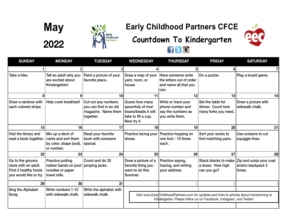



### **Early Childhood Partners CFCE**





| <b>SUNDAY</b>                                                                               | <b>MONDAY</b>                                                                    | <b>TUESDAY</b>                                                                    | <b>WEDNESDAY</b>                                                                                  | <b>THURSDAY</b>                                                                                                                                                      | <b>FRIDAY</b>                                                  | <b>SATURDAY</b>                                        |
|---------------------------------------------------------------------------------------------|----------------------------------------------------------------------------------|-----------------------------------------------------------------------------------|---------------------------------------------------------------------------------------------------|----------------------------------------------------------------------------------------------------------------------------------------------------------------------|----------------------------------------------------------------|--------------------------------------------------------|
|                                                                                             |                                                                                  |                                                                                   |                                                                                                   |                                                                                                                                                                      |                                                                |                                                        |
| Take a hike.                                                                                | Tell an adult why you<br>are excited about<br>Kindergarten!                      | Paint a picture of your<br>favorite place                                         | Draw a map of your<br>yard, room, or<br>house.                                                    | Have someone write<br>the letters out of order<br>and name all that you<br>can.                                                                                      | Do a puzzle.                                                   | Play a board game.                                     |
|                                                                                             |                                                                                  | 10 <sup>1</sup>                                                                   | 11                                                                                                | 12                                                                                                                                                                   | 13                                                             | 14                                                     |
| Draw a rainbow with<br>each colored stripe.                                                 | Help cook breakfast!                                                             | Cut out any numbers<br>you can find in an old<br>magazine. Name them<br>together. | Guess how many<br>spoonfuls of rice/<br>beans/beads it will<br>take to fill a cup.<br>Now try it. | Write or trace your<br>phone number and<br>say the numbers as<br>you write them.                                                                                     | Set the table for<br>dinner. Count how<br>many forks you need. | Draw a picture with<br>sidewalk chalk.                 |
| 15                                                                                          | 16 <sup>1</sup>                                                                  | 17                                                                                | 18                                                                                                | 19                                                                                                                                                                   | 20 <sub>2</sub>                                                | 21                                                     |
| Visit the library and<br>read a book together.                                              | Mix up a deck of<br>cards and sort them<br>by color, shape (suit),<br>or number. | Read your favorite<br>book with someone<br>special.                               | Practice lacing your<br>shoes.                                                                    | Practice hopping on<br>one foot - 10 times<br>each.                                                                                                                  | Sort your socks to<br>find matching pairs.                     | Use scissors to cut<br>squiggle lines.                 |
| 22                                                                                          | 23                                                                               | 24                                                                                | 25                                                                                                | 26                                                                                                                                                                   | 27                                                             | 28                                                     |
| Go to the grocery<br>store with an adult.<br>Find 2 healthy foods<br>you would like to try. | Practice putting<br>rubber bands on pool<br>noodles or paper<br>towel rolls.     | Count and do 20<br>jumping jacks.                                                 | Draw a picture of a<br>favorite thing you<br>want to do this<br>Summer.                           | Practice saying,<br>tracing, and writing<br>your address.                                                                                                            | Stack blocks to make<br>a tower. How high<br>can you go?       | Zip and unzip your coat<br>and/or backpack 5<br>times. |
| 29                                                                                          | 30 <sup>1</sup>                                                                  | 31                                                                                |                                                                                                   |                                                                                                                                                                      |                                                                |                                                        |
| Sing the Alphabet<br>Song.                                                                  | Write numbers 1-10<br>with sidewalk chalk.                                       | Write the alphabet with<br>sidewalk chalk.                                        |                                                                                                   | Visit www.EarlyChildhoodPartners.com for updates and links to articles about transitioning to<br>Kindergarten. Please follow us on Facebook, Instagram, and Twitter! |                                                                |                                                        |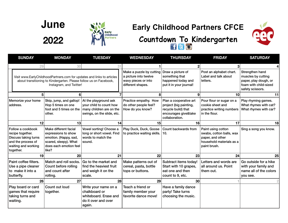**June**

**2022**



#### **Early Childhood Partners CFCE**



| <b>SUNDAY</b>                                                                                                           | <b>MONDAY</b>                                                                                                                                                           | <b>TUESDAY</b>                                                                                             | <b>WEDNESDAY</b>                                                                              | <b>THURSDAY</b>                                                                                                   | <b>FRIDAY</b>                                                                                                  | <b>SATURDAY</b>                                                                                             |
|-------------------------------------------------------------------------------------------------------------------------|-------------------------------------------------------------------------------------------------------------------------------------------------------------------------|------------------------------------------------------------------------------------------------------------|-----------------------------------------------------------------------------------------------|-------------------------------------------------------------------------------------------------------------------|----------------------------------------------------------------------------------------------------------------|-------------------------------------------------------------------------------------------------------------|
| 29                                                                                                                      | 30                                                                                                                                                                      | 31                                                                                                         |                                                                                               |                                                                                                                   |                                                                                                                |                                                                                                             |
|                                                                                                                         | Visit www.EarlyChildhoodPartners.com for updates and links to articles<br>about transitioning to Kindergarten. Please follow us on Facebook,<br>Instagram, and Twitter! |                                                                                                            | Make a puzzle by cutting<br>a picture into twelve<br>wavy pieces or into<br>different shapes. | Draw a picture of<br>something that<br>happened today and<br>put it in your journal!                              | Post an alphabet chart.<br>Label and talk about<br>letters.                                                    | Strengthen hand<br>muscles by cutting<br>paper, play dough, or<br>foam with child-sized<br>safety scissors. |
| 5                                                                                                                       |                                                                                                                                                                         |                                                                                                            |                                                                                               | 9                                                                                                                 | 10 <sup>1</sup>                                                                                                | 11                                                                                                          |
| Memorize your home<br>address.                                                                                          | Skip, jump, and gallop!<br>Hop 5 times on one<br>foot and 5 times on the<br>other.                                                                                      | At the playground ask<br>your child to count how<br>many children are on the<br>swings, on the slide, etc. | Practice empathy. How<br>do other people feel?<br>How do you know?                            | Plan a cooperative art<br>project (big painting,<br>recycle build) that<br>encourages give&take<br>collaboration. | Pour flour or sugar on a<br>cookie sheet and<br>practice writing numbers<br>in the flour.                      | Play rhyming games.<br>What rhymes with cat?<br>What rhymes with car?                                       |
| 12                                                                                                                      | 13                                                                                                                                                                      | 14                                                                                                         | 15                                                                                            | 16                                                                                                                | 17                                                                                                             | 18                                                                                                          |
| Follow a cookbook<br>recipe together.<br>Discuss taking turns<br>and the process of<br>waiting and working<br>together. | Make different facial<br>expressions to show<br>emotion. (Happy, sad,<br>scared, sleepy). What<br>does each emotion feel<br>like?                                       | Vowel sorting! Choose a<br>long or short vowel. Find<br>words to match the<br>sound.                       | Play Duck, Duck, Goose<br>to practice waiting skills.                                         | Count backwards from<br>10.                                                                                       | Paint using cotton<br>swabs, cotton balls, wax<br>paper, and other<br>household materials as a<br>paint brush. | Sing a song you know.                                                                                       |
| 19                                                                                                                      | 20                                                                                                                                                                      | 21                                                                                                         | 22                                                                                            | 23                                                                                                                | 24                                                                                                             | 25                                                                                                          |
| Paint coffee filters.<br>Use a pipe cleaner<br>to make it into a<br>butterfly.                                          | Match and roll socks.<br>Count before rolling<br>and count after<br>rolling.                                                                                            | Go to the market and<br>find the heaviest fruit<br>and weigh it on the<br>scale.                           | Make patterns out of<br>cereal, pasta, bottle<br>tops or buttons.                             | Subtract items today!<br>Start with 10 grapes,<br>eat one and then<br>count to 9, etc.                            | Letters and words are<br>all around us. Point<br>them out.                                                     | Go outside for a hike<br>with your family and<br>name all of the colors<br>you see.                         |
| 26                                                                                                                      | 27                                                                                                                                                                      | 28                                                                                                         | 29                                                                                            | 30 <sup>°</sup>                                                                                                   |                                                                                                                |                                                                                                             |
| Play board or card<br>games that require<br>taking turns and<br>waiting.                                                | Count out loud<br>together.                                                                                                                                             | Write your name on a<br>chalkboard or<br>whiteboard. Erase and<br>do it over and over<br>again.            | Teach a friend or<br>family member your<br>favorite dance move!                               | Have a family dance<br>party! Take turns<br>choosing the music.                                                   |                                                                                                                |                                                                                                             |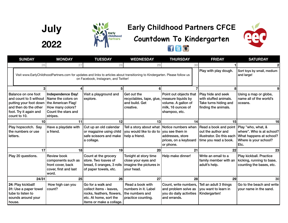**July 2022**



## **Early Childhood Partners CFCE**



|          | <b>SUNDAY</b>                                                                                                                              | <b>MONDAY</b>                                                                                                               | <b>TUESDAY</b>                                                                                                                                                       | <b>WEDNESDAY</b>                                                                         | <b>THURSDAY</b>                                                                                            | <b>FRIDAY</b>                                                                                                        | <b>SATURDAY</b>                                                                       |
|----------|--------------------------------------------------------------------------------------------------------------------------------------------|-----------------------------------------------------------------------------------------------------------------------------|----------------------------------------------------------------------------------------------------------------------------------------------------------------------|------------------------------------------------------------------------------------------|------------------------------------------------------------------------------------------------------------|----------------------------------------------------------------------------------------------------------------------|---------------------------------------------------------------------------------------|
|          | 26                                                                                                                                         | 27                                                                                                                          | 28                                                                                                                                                                   | 29                                                                                       | 30                                                                                                         |                                                                                                                      |                                                                                       |
|          |                                                                                                                                            |                                                                                                                             | Visit www.EarlyChildhoodPartners.com for updates and links to articles about transitioning to Kindergarten. Please follow us<br>on Facebook, Instagram, and Twitter! |                                                                                          |                                                                                                            | Play with play dough.                                                                                                | Sort toys by small, medium<br>and large!                                              |
|          |                                                                                                                                            |                                                                                                                             | 5                                                                                                                                                                    | 6                                                                                        |                                                                                                            | 8                                                                                                                    | 9                                                                                     |
|          | Balance on one foot<br>and count to 5 without<br>putting your foot down<br>and then do the other<br>foot. Try it again and<br>count to 10. | <b>Independence Day!</b><br>Name the colors on<br>the American Flag!<br>How many colors?<br>Count the stars and<br>stripes. | Visit a playground and<br>explore.                                                                                                                                   | Get out the<br>recyclables, tape, glue,<br>and build. Get<br>creative.                   | Point out objects that<br>measure liquids by<br>volume. A gallon of<br>milk, 16 ounces of<br>shampoo, etc. | Play hide and seek<br>with stuffed animals.<br>Take turns hiding and<br>finding the animals.                         | Using a map or globe,<br>name all of the world's<br>oceans.                           |
|          | 10                                                                                                                                         | 11                                                                                                                          | 12                                                                                                                                                                   | 13                                                                                       | 14                                                                                                         | 15 <sup>1</sup>                                                                                                      | 16                                                                                    |
| letters. | Play hopscotch. Say<br>the numbers or use                                                                                                  | Have a playdate with<br>a friend.                                                                                           | Cut up an old calendar<br>or magazine using child<br>safe scissors and make<br>a collage.                                                                            | Tell a story about what Notice numbers when<br>you would like to do to<br>help a friend. | you see them in<br>addresses, store<br>prices, on a keyboard<br>or phone.                                  | Read a book and point Play "who, what, &<br>out the author and<br>illustrator. Do this each<br>time you read a book. | where". Who is at school?<br>What happens at school?<br>Where is your school?<br>Etc. |
|          | 17                                                                                                                                         | 18                                                                                                                          | 19                                                                                                                                                                   | 20                                                                                       | 21                                                                                                         | 22                                                                                                                   | 23                                                                                    |
|          | Play 20 questions.                                                                                                                         | <b>Review book</b><br>components such as<br>front cover, back<br>cover, first and last<br>word.                             | Count at the grocery<br>store. Two loaves of<br>bread, 5 oranges, 3 rolls<br>of paper towels, etc.                                                                   | Tonight at story time<br>close your eyes and<br>imagine the pictures in<br>your head.    | Help make dinner!                                                                                          | Write an email to a<br>family member with an<br>adult's help.                                                        | Play kickball. Practice<br>kicking, running to base,<br>counting the bases, etc.      |
|          | 24/31                                                                                                                                      | 25                                                                                                                          | 26                                                                                                                                                                   | 27                                                                                       | 28                                                                                                         | 29                                                                                                                   | 30 <sub>0</sub>                                                                       |
| house.   | 24: Play kickball!<br>31: Use a paper towel<br>tube to listen to<br>sounds around your                                                     | How high can you<br>count?                                                                                                  | Go for a walk and<br>collect items - leaves,<br>rocks, feathers, flowers,<br>etc. At home, sort the<br>items or make a collage.                                      | Read a book with<br>numbers in it. Label<br>the numbers and<br>practice counting.        | Count, write numbers,<br>and problem solve as<br>you do daily activities<br>and errands.                   | Tell an adult 3 things<br>you want to learn in<br>Kindergarten!                                                      | Go to the beach and write<br>your name in the sand.                                   |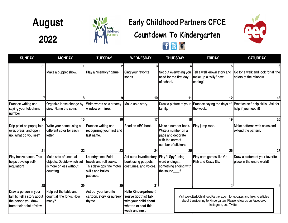**August**

**2022**



### **Early Childhood Partners CFCE**





| <b>SUNDAY</b>                                                                                           | <b>MONDAY</b>                                                                             | <b>TUESDAY</b>                                                                                             | <b>WEDNESDAY</b>                                                                                                        | <b>THURSDAY</b>                                                                                                                                                         |    | <b>FRIDAY</b>                                                   | <b>SATURDAY</b>                                                                        |
|---------------------------------------------------------------------------------------------------------|-------------------------------------------------------------------------------------------|------------------------------------------------------------------------------------------------------------|-------------------------------------------------------------------------------------------------------------------------|-------------------------------------------------------------------------------------------------------------------------------------------------------------------------|----|-----------------------------------------------------------------|----------------------------------------------------------------------------------------|
| 31                                                                                                      |                                                                                           |                                                                                                            |                                                                                                                         |                                                                                                                                                                         |    |                                                                 |                                                                                        |
|                                                                                                         | Make a puppet show.                                                                       | Play a "memory" game.                                                                                      | Sing your favorite<br>songs.                                                                                            | Set out everything you<br>need for the first day<br>of school.                                                                                                          |    | Tell a well known story and<br>make up a "silly" new<br>ending! | Go for a walk and look for all the<br>colors of the rainbow.                           |
|                                                                                                         |                                                                                           |                                                                                                            | 10                                                                                                                      |                                                                                                                                                                         | 11 | 12                                                              | 13                                                                                     |
| Practice writing and<br>saying your telephone<br>number.                                                | Organize loose change by<br>size. Name the coins.                                         | Write words on a steamy<br>window or mirror.                                                               | Make up a story.                                                                                                        | Draw a picture of your<br>family.                                                                                                                                       |    | the week.                                                       | Practice saying the days of Practice self-help skills. Ask for<br>help if you need it! |
| 14                                                                                                      | 15                                                                                        | 16                                                                                                         | 17                                                                                                                      |                                                                                                                                                                         | 18 | 19                                                              | 20                                                                                     |
| Drip paint on paper, fold<br>over, press, and open<br>up. What do you see?                              | Write your name using a<br>different color for each<br>letter.                            | Practice writing and<br>recognizing your first and<br>last name.                                           | Read an ABC book.                                                                                                       | Make a number book.<br>Write a number on a<br>page and decorate<br>with the correct<br>number of stickers.                                                              |    | Play jump rope.                                                 | Make patterns with coins and<br>extend the pattern.                                    |
| 21                                                                                                      | 22                                                                                        | 23                                                                                                         | 24                                                                                                                      |                                                                                                                                                                         | 25 | 26                                                              | 27                                                                                     |
| Play freeze dance. This<br>helps develop self-<br>regulation!                                           | Make sets of unequal<br>objects. Decide which set<br>is more or less without<br>counting. | Laundry time! Fold<br>towels and roll socks.<br>This develops fine motor<br>skills and builds<br>patience. | Act out a favorite story<br>book using puppets,<br>costumes, and voices.                                                | Play "I Spy" using<br>word endings<br>something ending with<br>the sound___?                                                                                            |    | Play card games like Go<br>Fish and Crazy 8's.                  | Draw a picture of your favorite<br>place in the entire world!                          |
| 28                                                                                                      | 29                                                                                        | 30 <sup>°</sup>                                                                                            | 31                                                                                                                      |                                                                                                                                                                         |    |                                                                 |                                                                                        |
| Draw a person in your<br>family. Tell a story about<br>the person you draw<br>from their point of view. | Help set the table and<br>count all the forks. How<br>many?                               | Act out your favorite<br>cartoon, story, or nursery<br>rhyme.                                              | <b>Hello Kindergartener!</b><br>You've got this! Talk<br>with your child about<br>what to expect this<br>week and next. | Visit www.EarlyChildhoodPartners.com for updates and links to articles<br>about transitioning to Kindergarten. Please follow us on Facebook,<br>Instagram, and Twitter! |    |                                                                 |                                                                                        |